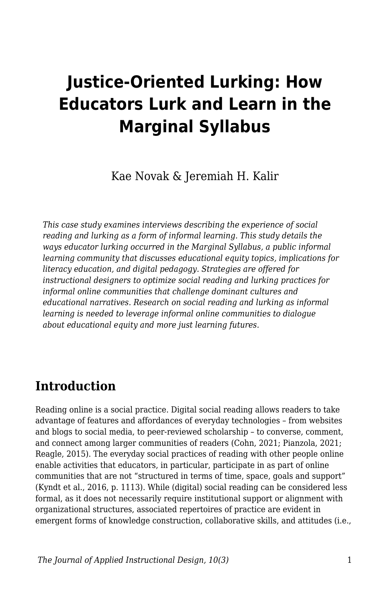# **Justice-Oriented Lurking: How Educators Lurk and Learn in the Marginal Syllabus**

Kae Novak & Jeremiah H. Kalir

*This case study examines interviews describing the experience of social reading and lurking as a form of informal learning. This study details the ways educator lurking occurred in the Marginal Syllabus, a public informal learning community that discusses educational equity topics, implications for literacy education, and digital pedagogy. Strategies are offered for instructional designers to optimize social reading and lurking practices for informal online communities that challenge dominant cultures and educational narratives. Research on social reading and lurking as informal learning is needed to leverage informal online communities to dialogue about educational equity and more just learning futures.*

# **Introduction**

Reading online is a social practice. Digital social reading allows readers to take advantage of features and affordances of everyday technologies – from websites and blogs to social media, to peer-reviewed scholarship – to converse, comment, and connect among larger communities of readers (Cohn, 2021; Pianzola, 2021; Reagle, 2015). The everyday social practices of reading with other people online enable activities that educators, in particular, participate in as part of online communities that are not "structured in terms of time, space, goals and support" (Kyndt et al., 2016, p. 1113). While (digital) social reading can be considered less formal, as it does not necessarily require institutional support or alignment with organizational structures, associated repertoires of practice are evident in emergent forms of knowledge construction, collaborative skills, and attitudes (i.e.,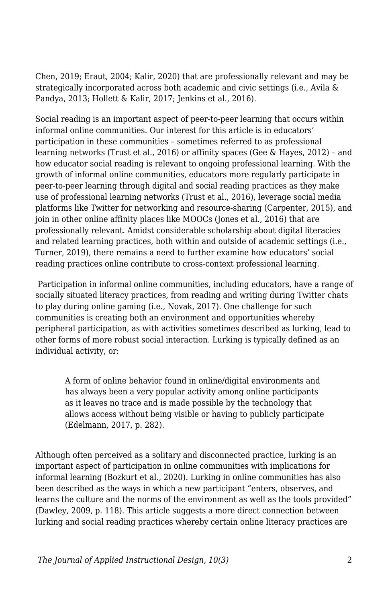Chen, 2019; Eraut, 2004; Kalir, 2020) that are professionally relevant and may be strategically incorporated across both academic and civic settings (i.e., Avila & Pandya, 2013; Hollett & Kalir, 2017; Jenkins et al., 2016).

Social reading is an important aspect of peer-to-peer learning that occurs within informal online communities. Our interest for this article is in educators' participation in these communities – sometimes referred to as professional learning networks (Trust et al., 2016) or affinity spaces (Gee & Hayes, 2012) – and how educator social reading is relevant to ongoing professional learning. With the growth of informal online communities, educators more regularly participate in peer-to-peer learning through digital and social reading practices as they make use of professional learning networks (Trust et al., 2016), leverage social media platforms like Twitter for networking and resource-sharing (Carpenter, 2015), and join in other online affinity places like MOOCs (Jones et al., 2016) that are professionally relevant. Amidst considerable scholarship about digital literacies and related learning practices, both within and outside of academic settings (i.e., Turner, 2019), there remains a need to further examine how educators' social reading practices online contribute to cross-context professional learning.

 Participation in informal online communities, including educators, have a range of socially situated literacy practices, from reading and writing during Twitter chats to play during online gaming (i.e., Novak, 2017). One challenge for such communities is creating both an environment and opportunities whereby peripheral participation, as with activities sometimes described as lurking, lead to other forms of more robust social interaction. Lurking is typically defined as an individual activity, or:

A form of online behavior found in online/digital environments and has always been a very popular activity among online participants as it leaves no trace and is made possible by the technology that allows access without being visible or having to publicly participate (Edelmann, 2017, p. 282).

Although often perceived as a solitary and disconnected practice, lurking is an important aspect of participation in online communities with implications for informal learning (Bozkurt et al., 2020). Lurking in online communities has also been described as the ways in which a new participant "enters, observes, and learns the culture and the norms of the environment as well as the tools provided" (Dawley, 2009, p. 118). This article suggests a more direct connection between lurking and social reading practices whereby certain online literacy practices are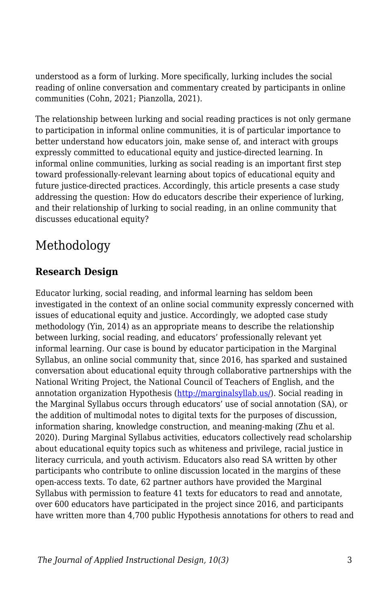understood as a form of lurking. More specifically, lurking includes the social reading of online conversation and commentary created by participants in online communities (Cohn, 2021; Pianzolla, 2021).

The relationship between lurking and social reading practices is not only germane to participation in informal online communities, it is of particular importance to better understand how educators join, make sense of, and interact with groups expressly committed to educational equity and justice-directed learning. In informal online communities, lurking as social reading is an important first step toward professionally-relevant learning about topics of educational equity and future justice-directed practices. Accordingly, this article presents a case study addressing the question: How do educators describe their experience of lurking, and their relationship of lurking to social reading, in an online community that discusses educational equity?

# Methodology

#### **Research Design**

Educator lurking, social reading, and informal learning has seldom been investigated in the context of an online social community expressly concerned with issues of educational equity and justice. Accordingly, we adopted case study methodology (Yin, 2014) as an appropriate means to describe the relationship between lurking, social reading, and educators' professionally relevant yet informal learning. Our case is bound by educator participation in the Marginal Syllabus, an online social community that, since 2016, has sparked and sustained conversation about educational equity through collaborative partnerships with the National Writing Project, the National Council of Teachers of English, and the annotation organization Hypothesis [\(http://marginalsyllab.us/\)](http://marginalsyllab.us/). Social reading in the Marginal Syllabus occurs through educators' use of social annotation (SA), or the addition of multimodal notes to digital texts for the purposes of discussion, information sharing, knowledge construction, and meaning-making (Zhu et al. 2020). During Marginal Syllabus activities, educators collectively read scholarship about educational equity topics such as whiteness and privilege, racial justice in literacy curricula, and youth activism. Educators also read SA written by other participants who contribute to online discussion located in the margins of these open-access texts. To date, 62 partner authors have provided the Marginal Syllabus with permission to feature 41 texts for educators to read and annotate, over 600 educators have participated in the project since 2016, and participants have written more than 4,700 public Hypothesis annotations for others to read and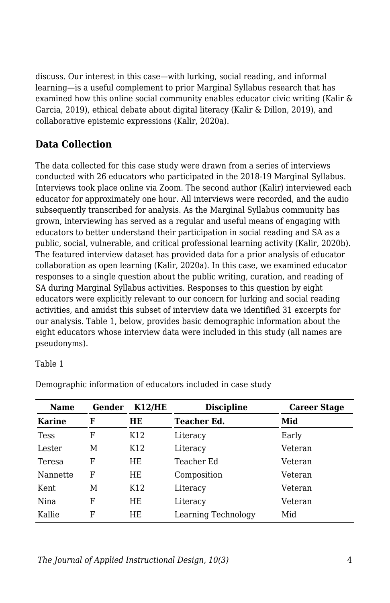discuss. Our interest in this case—with lurking, social reading, and informal learning—is a useful complement to prior Marginal Syllabus research that has examined how this online social community enables educator civic writing (Kalir & Garcia, 2019), ethical debate about digital literacy (Kalir & Dillon, 2019), and collaborative epistemic expressions (Kalir, 2020a).

#### **Data Collection**

The data collected for this case study were drawn from a series of interviews conducted with 26 educators who participated in the 2018-19 Marginal Syllabus. Interviews took place online via Zoom. The second author (Kalir) interviewed each educator for approximately one hour. All interviews were recorded, and the audio subsequently transcribed for analysis. As the Marginal Syllabus community has grown, interviewing has served as a regular and useful means of engaging with educators to better understand their participation in social reading and SA as a public, social, vulnerable, and critical professional learning activity (Kalir, 2020b). The featured interview dataset has provided data for a prior analysis of educator collaboration as open learning (Kalir, 2020a). In this case, we examined educator responses to a single question about the public writing, curation, and reading of SA during Marginal Syllabus activities. Responses to this question by eight educators were explicitly relevant to our concern for lurking and social reading activities, and amidst this subset of interview data we identified 31 excerpts for our analysis. Table 1, below, provides basic demographic information about the eight educators whose interview data were included in this study (all names are pseudonyms).

#### Table 1

| <b>Name</b> | Gender | K12/HE          | <b>Discipline</b>   | <b>Career Stage</b> |
|-------------|--------|-----------------|---------------------|---------------------|
| Karine      | F      | HE              | Teacher Ed.         | Mid                 |
| Tess        | F      | K <sub>12</sub> | Literacy            | Early               |
| Lester      | M      | K <sub>12</sub> | Literacy            | Veteran             |
| Teresa      | F      | HE              | Teacher Ed          | Veteran             |
| Nannette    | F      | HE              | Composition         | Veteran             |
| Kent.       | M      | K <sub>12</sub> | Literacy            | Veteran             |
| Nina        | F      | ΗE              | Literacy            | Veteran             |
| Kallie      | F      | ΗF              | Learning Technology | Mid                 |

Demographic information of educators included in case study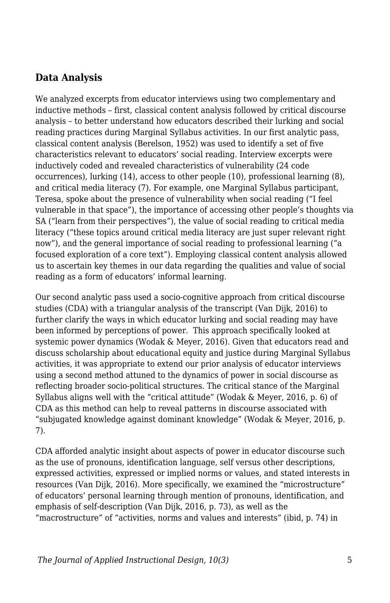#### **Data Analysis**

We analyzed excerpts from educator interviews using two complementary and inductive methods – first, classical content analysis followed by critical discourse analysis – to better understand how educators described their lurking and social reading practices during Marginal Syllabus activities. In our first analytic pass, classical content analysis (Berelson, 1952) was used to identify a set of five characteristics relevant to educators' social reading. Interview excerpts were inductively coded and revealed characteristics of vulnerability (24 code occurrences), lurking (14), access to other people (10), professional learning (8), and critical media literacy (7). For example, one Marginal Syllabus participant, Teresa, spoke about the presence of vulnerability when social reading ("I feel vulnerable in that space"), the importance of accessing other people's thoughts via SA ("learn from their perspectives"), the value of social reading to critical media literacy ("these topics around critical media literacy are just super relevant right now"), and the general importance of social reading to professional learning ("a focused exploration of a core text"). Employing classical content analysis allowed us to ascertain key themes in our data regarding the qualities and value of social reading as a form of educators' informal learning.

Our second analytic pass used a socio-cognitive approach from critical discourse studies (CDA) with a triangular analysis of the transcript (Van Dijk, 2016) to further clarify the ways in which educator lurking and social reading may have been informed by perceptions of power. This approach specifically looked at systemic power dynamics (Wodak & Meyer, 2016). Given that educators read and discuss scholarship about educational equity and justice during Marginal Syllabus activities, it was appropriate to extend our prior analysis of educator interviews using a second method attuned to the dynamics of power in social discourse as reflecting broader socio-political structures. The critical stance of the Marginal Syllabus aligns well with the "critical attitude" (Wodak & Meyer, 2016, p. 6) of CDA as this method can help to reveal patterns in discourse associated with "subjugated knowledge against dominant knowledge" (Wodak & Meyer, 2016, p. 7).

CDA afforded analytic insight about aspects of power in educator discourse such as the use of pronouns, identification language, self versus other descriptions, expressed activities, expressed or implied norms or values, and stated interests in resources (Van Dijk, 2016). More specifically, we examined the "microstructure" of educators' personal learning through mention of pronouns, identification, and emphasis of self-description (Van Dijk, 2016, p. 73), as well as the "macrostructure" of "activities, norms and values and interests" (ibid, p. 74) in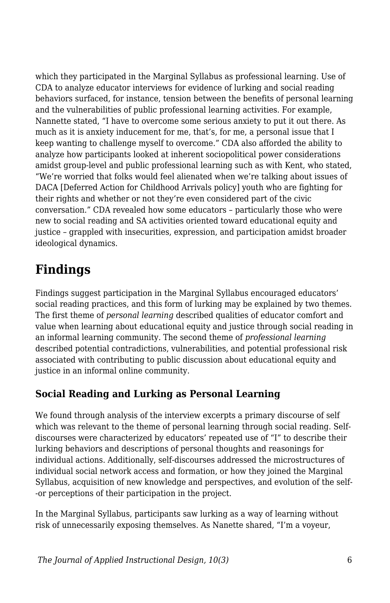which they participated in the Marginal Syllabus as professional learning. Use of CDA to analyze educator interviews for evidence of lurking and social reading behaviors surfaced, for instance, tension between the benefits of personal learning and the vulnerabilities of public professional learning activities. For example, Nannette stated, "I have to overcome some serious anxiety to put it out there. As much as it is anxiety inducement for me, that's, for me, a personal issue that I keep wanting to challenge myself to overcome." CDA also afforded the ability to analyze how participants looked at inherent sociopolitical power considerations amidst group-level and public professional learning such as with Kent, who stated, "We're worried that folks would feel alienated when we're talking about issues of DACA [Deferred Action for Childhood Arrivals policy] youth who are fighting for their rights and whether or not they're even considered part of the civic conversation." CDA revealed how some educators – particularly those who were new to social reading and SA activities oriented toward educational equity and justice – grappled with insecurities, expression, and participation amidst broader ideological dynamics.

# **Findings**

Findings suggest participation in the Marginal Syllabus encouraged educators' social reading practices, and this form of lurking may be explained by two themes. The first theme of *personal learning* described qualities of educator comfort and value when learning about educational equity and justice through social reading in an informal learning community. The second theme of *professional learning* described potential contradictions, vulnerabilities, and potential professional risk associated with contributing to public discussion about educational equity and justice in an informal online community.

### **Social Reading and Lurking as Personal Learning**

We found through analysis of the interview excerpts a primary discourse of self which was relevant to the theme of personal learning through social reading. Selfdiscourses were characterized by educators' repeated use of "I" to describe their lurking behaviors and descriptions of personal thoughts and reasonings for individual actions. Additionally, self-discourses addressed the microstructures of individual social network access and formation, or how they joined the Marginal Syllabus, acquisition of new knowledge and perspectives, and evolution of the self- -or perceptions of their participation in the project.

In the Marginal Syllabus, participants saw lurking as a way of learning without risk of unnecessarily exposing themselves. As Nanette shared, "I'm a voyeur,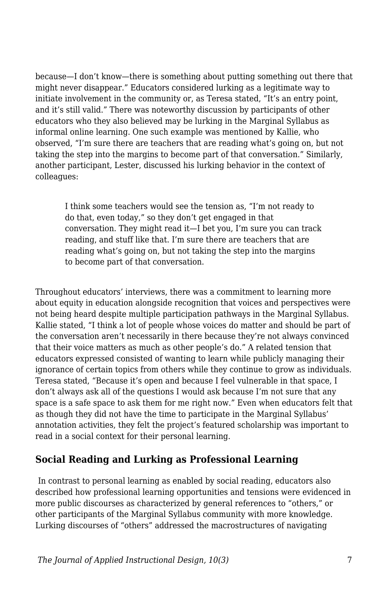because—I don't know—there is something about putting something out there that might never disappear." Educators considered lurking as a legitimate way to initiate involvement in the community or, as Teresa stated, "It's an entry point, and it's still valid." There was noteworthy discussion by participants of other educators who they also believed may be lurking in the Marginal Syllabus as informal online learning. One such example was mentioned by Kallie, who observed, "I'm sure there are teachers that are reading what's going on, but not taking the step into the margins to become part of that conversation." Similarly, another participant, Lester, discussed his lurking behavior in the context of colleagues:

I think some teachers would see the tension as, "I'm not ready to do that, even today," so they don't get engaged in that conversation. They might read it—I bet you, I'm sure you can track reading, and stuff like that. I'm sure there are teachers that are reading what's going on, but not taking the step into the margins to become part of that conversation.

Throughout educators' interviews, there was a commitment to learning more about equity in education alongside recognition that voices and perspectives were not being heard despite multiple participation pathways in the Marginal Syllabus. Kallie stated, "I think a lot of people whose voices do matter and should be part of the conversation aren't necessarily in there because they're not always convinced that their voice matters as much as other people's do." A related tension that educators expressed consisted of wanting to learn while publicly managing their ignorance of certain topics from others while they continue to grow as individuals. Teresa stated, "Because it's open and because I feel vulnerable in that space, I don't always ask all of the questions I would ask because I'm not sure that any space is a safe space to ask them for me right now." Even when educators felt that as though they did not have the time to participate in the Marginal Syllabus' annotation activities, they felt the project's featured scholarship was important to read in a social context for their personal learning.

#### **Social Reading and Lurking as Professional Learning**

In contrast to personal learning as enabled by social reading, educators also described how professional learning opportunities and tensions were evidenced in more public discourses as characterized by general references to "others," or other participants of the Marginal Syllabus community with more knowledge. Lurking discourses of "others" addressed the macrostructures of navigating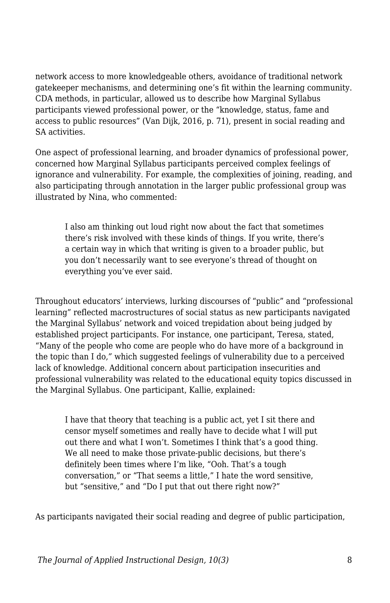network access to more knowledgeable others, avoidance of traditional network gatekeeper mechanisms, and determining one's fit within the learning community. CDA methods, in particular, allowed us to describe how Marginal Syllabus participants viewed professional power, or the "knowledge, status, fame and access to public resources" (Van Dijk, 2016, p. 71), present in social reading and SA activities.

One aspect of professional learning, and broader dynamics of professional power, concerned how Marginal Syllabus participants perceived complex feelings of ignorance and vulnerability. For example, the complexities of joining, reading, and also participating through annotation in the larger public professional group was illustrated by Nina, who commented:

I also am thinking out loud right now about the fact that sometimes there's risk involved with these kinds of things. If you write, there's a certain way in which that writing is given to a broader public, but you don't necessarily want to see everyone's thread of thought on everything you've ever said.

Throughout educators' interviews, lurking discourses of "public" and "professional learning" reflected macrostructures of social status as new participants navigated the Marginal Syllabus' network and voiced trepidation about being judged by established project participants. For instance, one participant, Teresa, stated, "Many of the people who come are people who do have more of a background in the topic than I do,*"* which suggested feelings of vulnerability due to a perceived lack of knowledge. Additional concern about participation insecurities and professional vulnerability was related to the educational equity topics discussed in the Marginal Syllabus. One participant, Kallie, explained:

I have that theory that teaching is a public act, yet I sit there and censor myself sometimes and really have to decide what I will put out there and what I won't. Sometimes I think that's a good thing. We all need to make those private-public decisions, but there's definitely been times where I'm like, "Ooh. That's a tough conversation," or "That seems a little," I hate the word sensitive, but "sensitive," and "Do I put that out there right now?"

As participants navigated their social reading and degree of public participation,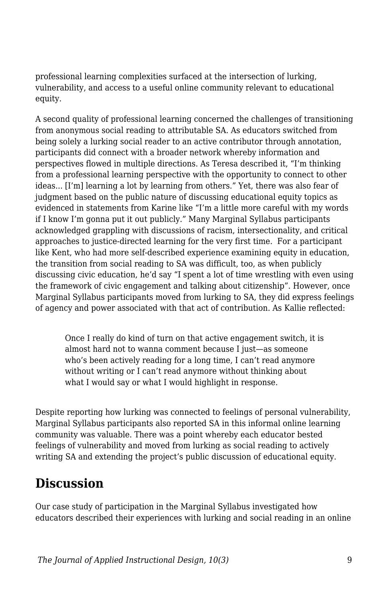professional learning complexities surfaced at the intersection of lurking, vulnerability, and access to a useful online community relevant to educational equity.

A second quality of professional learning concerned the challenges of transitioning from anonymous social reading to attributable SA. As educators switched from being solely a lurking social reader to an active contributor through annotation, participants did connect with a broader network whereby information and perspectives flowed in multiple directions. As Teresa described it, "I'm thinking from a professional learning perspective with the opportunity to connect to other ideas... [I'm] learning a lot by learning from others." Yet, there was also fear of judgment based on the public nature of discussing educational equity topics as evidenced in statements from Karine like "I'm a little more careful with my words if I know I'm gonna put it out publicly." Many Marginal Syllabus participants acknowledged grappling with discussions of racism, intersectionality, and critical approaches to justice-directed learning for the very first time. For a participant like Kent, who had more self-described experience examining equity in education, the transition from social reading to SA was difficult, too, as when publicly discussing civic education, he'd say "I spent a lot of time wrestling with even using the framework of civic engagement and talking about citizenship". However, once Marginal Syllabus participants moved from lurking to SA, they did express feelings of agency and power associated with that act of contribution. As Kallie reflected:

Once I really do kind of turn on that active engagement switch, it is almost hard not to wanna comment because I just—as someone who's been actively reading for a long time, I can't read anymore without writing or I can't read anymore without thinking about what I would say or what I would highlight in response.

Despite reporting how lurking was connected to feelings of personal vulnerability, Marginal Syllabus participants also reported SA in this informal online learning community was valuable. There was a point whereby each educator bested feelings of vulnerability and moved from lurking as social reading to actively writing SA and extending the project's public discussion of educational equity.

## **Discussion**

Our case study of participation in the Marginal Syllabus investigated how educators described their experiences with lurking and social reading in an online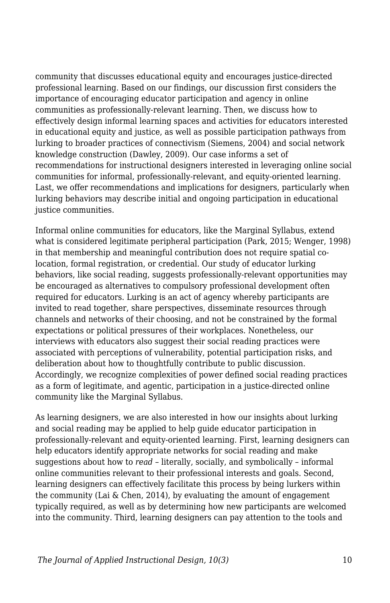community that discusses educational equity and encourages justice-directed professional learning. Based on our findings, our discussion first considers the importance of encouraging educator participation and agency in online communities as professionally-relevant learning. Then, we discuss how to effectively design informal learning spaces and activities for educators interested in educational equity and justice, as well as possible participation pathways from lurking to broader practices of connectivism (Siemens, 2004) and social network knowledge construction (Dawley, 2009). Our case informs a set of recommendations for instructional designers interested in leveraging online social communities for informal, professionally-relevant, and equity-oriented learning. Last, we offer recommendations and implications for designers, particularly when lurking behaviors may describe initial and ongoing participation in educational justice communities.

Informal online communities for educators, like the Marginal Syllabus, extend what is considered legitimate peripheral participation (Park, 2015; Wenger, 1998) in that membership and meaningful contribution does not require spatial colocation, formal registration, or credential. Our study of educator lurking behaviors, like social reading, suggests professionally-relevant opportunities may be encouraged as alternatives to compulsory professional development often required for educators. Lurking is an act of agency whereby participants are invited to read together, share perspectives, disseminate resources through channels and networks of their choosing, and not be constrained by the formal expectations or political pressures of their workplaces. Nonetheless, our interviews with educators also suggest their social reading practices were associated with perceptions of vulnerability, potential participation risks, and deliberation about how to thoughtfully contribute to public discussion. Accordingly, we recognize complexities of power defined social reading practices as a form of legitimate, and agentic, participation in a justice-directed online community like the Marginal Syllabus.

As learning designers, we are also interested in how our insights about lurking and social reading may be applied to help guide educator participation in professionally-relevant and equity-oriented learning. First, learning designers can help educators identify appropriate networks for social reading and make suggestions about how to *read –* literally, socially, and symbolically – informal online communities relevant to their professional interests and goals. Second, learning designers can effectively facilitate this process by being lurkers within the community (Lai & Chen, 2014), by evaluating the amount of engagement typically required, as well as by determining how new participants are welcomed into the community. Third, learning designers can pay attention to the tools and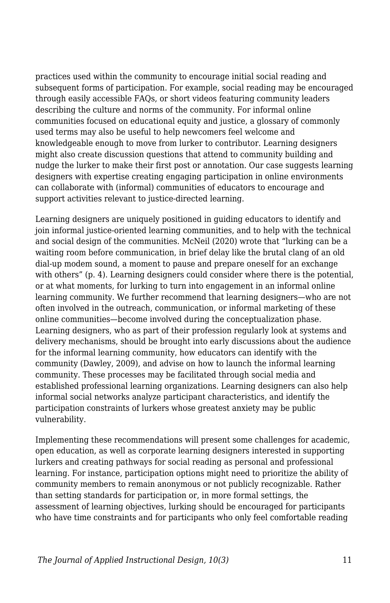practices used within the community to encourage initial social reading and subsequent forms of participation. For example, social reading may be encouraged through easily accessible FAQs, or short videos featuring community leaders describing the culture and norms of the community. For informal online communities focused on educational equity and justice, a glossary of commonly used terms may also be useful to help newcomers feel welcome and knowledgeable enough to move from lurker to contributor. Learning designers might also create discussion questions that attend to community building and nudge the lurker to make their first post or annotation. Our case suggests learning designers with expertise creating engaging participation in online environments can collaborate with (informal) communities of educators to encourage and support activities relevant to justice-directed learning.

Learning designers are uniquely positioned in guiding educators to identify and join informal justice-oriented learning communities, and to help with the technical and social design of the communities. McNeil (2020) wrote that "lurking can be a waiting room before communication, in brief delay like the brutal clang of an old dial-up modem sound, a moment to pause and prepare oneself for an exchange with others" (p. 4). Learning designers could consider where there is the potential, or at what moments, for lurking to turn into engagement in an informal online learning community. We further recommend that learning designers—who are not often involved in the outreach, communication, or informal marketing of these online communities—become involved during the conceptualization phase. Learning designers, who as part of their profession regularly look at systems and delivery mechanisms, should be brought into early discussions about the audience for the informal learning community, how educators can identify with the community (Dawley, 2009), and advise on how to launch the informal learning community. These processes may be facilitated through social media and established professional learning organizations. Learning designers can also help informal social networks analyze participant characteristics, and identify the participation constraints of lurkers whose greatest anxiety may be public vulnerability.

Implementing these recommendations will present some challenges for academic, open education, as well as corporate learning designers interested in supporting lurkers and creating pathways for social reading as personal and professional learning. For instance, participation options might need to prioritize the ability of community members to remain anonymous or not publicly recognizable. Rather than setting standards for participation or, in more formal settings, the assessment of learning objectives, lurking should be encouraged for participants who have time constraints and for participants who only feel comfortable reading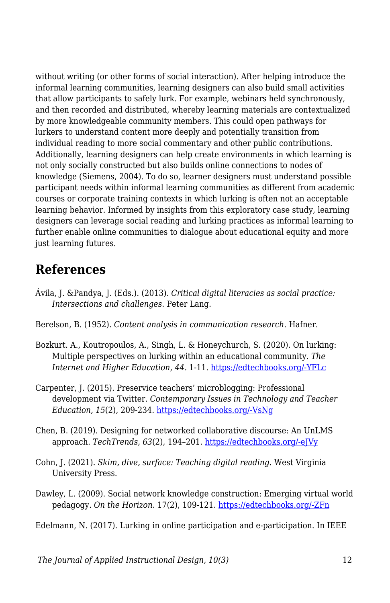without writing (or other forms of social interaction). After helping introduce the informal learning communities, learning designers can also build small activities that allow participants to safely lurk. For example, webinars held synchronously, and then recorded and distributed, whereby learning materials are contextualized by more knowledgeable community members. This could open pathways for lurkers to understand content more deeply and potentially transition from individual reading to more social commentary and other public contributions. Additionally, learning designers can help create environments in which learning is not only socially constructed but also builds online connections to nodes of knowledge (Siemens, 2004). To do so, learner designers must understand possible participant needs within informal learning communities as different from academic courses or corporate training contexts in which lurking is often not an acceptable learning behavior. Informed by insights from this exploratory case study, learning designers can leverage social reading and lurking practices as informal learning to further enable online communities to dialogue about educational equity and more just learning futures.

### **References**

- Ávila, J. &Pandya, J. (Eds.). (2013). *Critical digital literacies as social practice: Intersections and challenges*. Peter Lang.
- Berelson, B. (1952). *Content analysis in communication research*. Hafner.
- Bozkurt. A., Koutropoulos, A., Singh, L. & Honeychurch, S. (2020). On lurking: Multiple perspectives on lurking within an educational community. *The Internet and Higher Education, 44.* 1-11. [https://edtechbooks.org/-YFLc](https://doi.org/10.1016/j.iheduc.2019.100709)
- Carpenter, J. (2015). Preservice teachers' microblogging: Professional development via Twitter. *Contemporary Issues in Technology and Teacher Education, 15*(2), 209-234. [https://edtechbooks.org/-VsNg](https://citejournal.org/wp-content/uploads/2016/04/v15i2general1.pdf)
- Chen, B. (2019). Designing for networked collaborative discourse: An UnLMS approach. *TechTrends*, *63*(2), 194–201. [https://edtechbooks.org/-eJVy](https://doi-org.aurarialibrary.idm.oclc.org/10.1007/s11528-018-0284-7)
- Cohn, J. (2021). *Skim, dive, surface: Teaching digital reading*. West Virginia University Press.
- Dawley, L. (2009). Social network knowledge construction: Emerging virtual world pedagogy. *On the Horizon*. 17(2), 109-121. [https://edtechbooks.org/-ZFn](https://doi.org/10.1108/10748120910965494)

Edelmann, N. (2017). Lurking in online participation and e-participation. In IEEE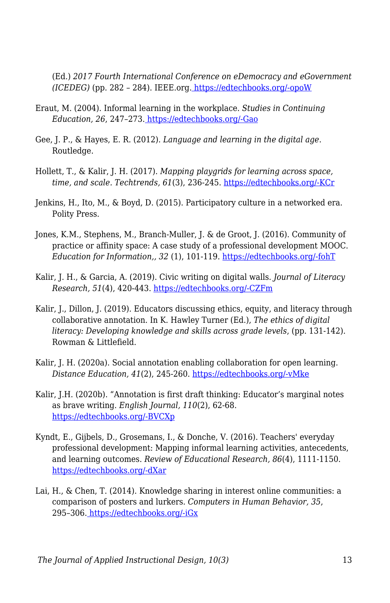(Ed.) *2017 Fourth International Conference on eDemocracy and eGovernment (ICEDEG)* (pp. 282 – 284). IEEE.org. [https://edtechbooks.org/-opoW](https://doi.org/10.1109/ICEDEG.2017.7962552)

- Eraut, M. (2004). Informal learning in the workplace. *Studies in Continuing Education, 26*, 247–273. [https://edtechbooks.org/-Gao](https://doi.org/10.1080/158037042000225245)
- Gee, J. P., & Hayes, E. R. (2012). *Language and learning in the digital age*. Routledge.
- Hollett, T., & Kalir, J. H. (2017). *Mapping playgrids for learning across space, time, and scale. Techtrends, 61*(3), 236-245. [https://edtechbooks.org/-KCr](https://doi.org/10.1007/s11528-016-0138-0)
- Jenkins, H., Ito, M., & Boyd, D. (2015). Participatory culture in a networked era. Polity Press.
- Jones, K.M., Stephens, M., Branch-Muller, J. & de Groot, J. (2016). Community of practice or affinity space: A case study of a professional development MOOC. *Education for Information,, 32* (1), 101-119. [https://edtechbooks.org/-fohT](https://edtechbooks.org/about:blank)
- Kalir, J. H., & Garcia, A. (2019). Civic writing on digital walls. *Journal of Literacy Research, 51*(4), 420-443. [https://edtechbooks.org/-CZFm](https://doi.org/10.1177/1086296X19877208)
- Kalir, L. Dillon, J. (2019). Educators discussing ethics, equity, and literacy through collaborative annotation. In K. Hawley Turner (Ed.), *The ethics of digital literacy: Developing knowledge and skills across grade levels*, (pp. 131-142). Rowman & Littlefield.
- Kalir, J. H. (2020a). Social annotation enabling collaboration for open learning. *Distance Education, 41*(2), 245-260. [https://edtechbooks.org/-vMke](https://doi.org/10.1080/01587919.2020.1757413)
- Kalir, J.H. (2020b). "Annotation is first draft thinking: Educator's marginal notes as brave writing. *English Journal, 110*(2), 62-68. [https://edtechbooks.org/-BVCXp](https://library-ncte-org.aurarialibrary.idm.oclc.org/journals/ej/issues/v110-2/30968)
- Kyndt, E., Gijbels, D., Grosemans, I., & Donche, V. (2016). Teachers' everyday professional development: Mapping informal learning activities, antecedents, and learning outcomes. *Review of Educational Research, 86*(4), 1111-1150. [https://edtechbooks.org/-dXar](https://doi.org/10.3102/0034654315627864)
- Lai, H., & Chen, T. (2014). Knowledge sharing in interest online communities: a comparison of posters and lurkers. *Computers in Human Behavior, 35*, 295–306[.](https://doi.org/10.1016/j.chb.2014.02.004) [https://edtechbooks.org/-iGx](https://doi.org/10.1016/j.chb.2014.02.004)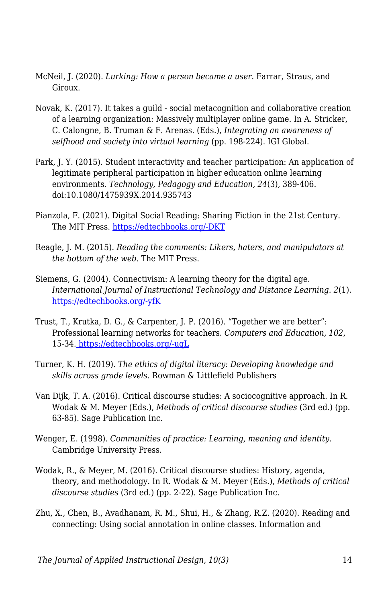- McNeil, J. (2020). *Lurking: How a person became a user*. Farrar, Straus, and Giroux.
- Novak, K. (2017). It takes a guild social metacognition and collaborative creation of a learning organization: Massively multiplayer online game. In A. Stricker, C. Calongne, B. Truman & F. Arenas. (Eds.), *Integrating an awareness of selfhood and society into virtual learning* (pp. 198-224). IGI Global.
- Park, J. Y. (2015). Student interactivity and teacher participation: An application of legitimate peripheral participation in higher education online learning environments. *Technology, Pedagogy and Education, 24*(3), 389-406. doi:10.1080/1475939X.2014.935743
- Pianzola, F. (2021). Digital Social Reading: Sharing Fiction in the 21st Century. The MIT Press. [https://edtechbooks.org/-DKT](https://wip.mitpress.mit.edu/digital-social-reading)
- Reagle, J. M. (2015). *Reading the comments: Likers, haters, and manipulators at the bottom of the web*. The MIT Press.
- Siemens, G. (2004). Connectivism: A learning theory for the digital age. *International Journal of Instructional Technology and Distance Learning. 2*(1). [https://edtechbooks.org/-yfK](http://www.itdl.org/journal/jan_05/article01.htm)
- Trust, T., Krutka, D. G., & Carpenter, J. P. (2016). "Together we are better": Professional learning networks for teachers. *Computers and Education, 102*, 15-34[.](https://doi.org/10.1016/j.compedu.2016.06.007) [https://edtechbooks.org/-uqL](https://doi.org/10.1016/j.compedu.2016.06.007)
- Turner, K. H. (2019). *The ethics of digital literacy: Developing knowledge and skills across grade levels*. Rowman & Littlefield Publishers
- Van Dijk, T. A. (2016). Critical discourse studies: A sociocognitive approach. In R. Wodak & M. Meyer (Eds.), *Methods of critical discourse studies* (3rd ed.) (pp. 63-85). Sage Publication Inc.
- Wenger, E. (1998). *Communities of practice: Learning, meaning and identity*. Cambridge University Press.
- Wodak, R., & Meyer, M. (2016). Critical discourse studies: History, agenda, theory, and methodology. In R. Wodak & M. Meyer (Eds.), *Methods of critical discourse studies* (3rd ed.) (pp. 2-22). Sage Publication Inc.
- Zhu, X., Chen, B., Avadhanam, R. M., Shui, H., & Zhang, R.Z. (2020). Reading and connecting: Using social annotation in online classes. Information and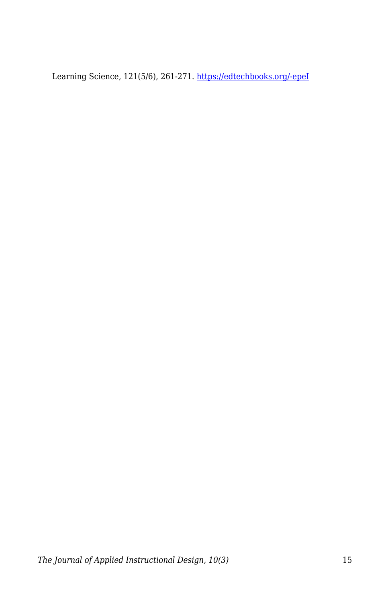Learning Science, 121(5/6), 261-271. [https://edtechbooks.org/-epeI](https://doi.org/10.1108/ILS-04-2020-0117)